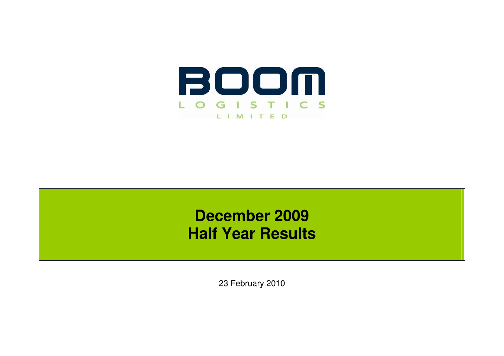

# **December 2009 Half Year Results**

23 February 2010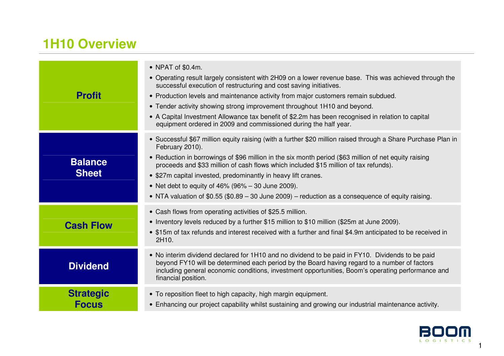# **1H10 Overview**

| <b>Profit</b>                    | • NPAT of \$0.4m.<br>• Operating result largely consistent with 2H09 on a lower revenue base. This was achieved through the<br>successful execution of restructuring and cost saving initiatives.<br>• Production levels and maintenance activity from major customers remain subdued.<br>• Tender activity showing strong improvement throughout 1H10 and beyond.<br>• A Capital Investment Allowance tax benefit of \$2.2m has been recognised in relation to capital<br>equipment ordered in 2009 and commissioned during the half year.                        |
|----------------------------------|--------------------------------------------------------------------------------------------------------------------------------------------------------------------------------------------------------------------------------------------------------------------------------------------------------------------------------------------------------------------------------------------------------------------------------------------------------------------------------------------------------------------------------------------------------------------|
| <b>Balance</b><br><b>Sheet</b>   | • Successful \$67 million equity raising (with a further \$20 million raised through a Share Purchase Plan in<br>February 2010).<br>• Reduction in borrowings of \$96 million in the six month period (\$63 million of net equity raising<br>proceeds and \$33 million of cash flows which included \$15 million of tax refunds).<br>• \$27m capital invested, predominantly in heavy lift cranes.<br>• Net debt to equity of $46\%$ (96% – 30 June 2009).<br>• NTA valuation of $$0.55$ ( $$0.89 - 30$ June 2009) – reduction as a consequence of equity raising. |
| <b>Cash Flow</b>                 | • Cash flows from operating activities of \$25.5 million.<br>• Inventory levels reduced by a further \$15 million to \$10 million (\$25m at June 2009).<br>• \$15m of tax refunds and interest received with a further and final \$4.9m anticipated to be received in<br>2H10.                                                                                                                                                                                                                                                                                     |
| <b>Dividend</b>                  | • No interim dividend declared for 1H10 and no dividend to be paid in FY10. Dividends to be paid<br>beyond FY10 will be determined each period by the Board having regard to a number of factors<br>including general economic conditions, investment opportunities, Boom's operating performance and<br>financial position.                                                                                                                                                                                                                                       |
| <b>Strategic</b><br><b>Focus</b> | • To reposition fleet to high capacity, high margin equipment.<br>• Enhancing our project capability whilst sustaining and growing our industrial maintenance activity.                                                                                                                                                                                                                                                                                                                                                                                            |

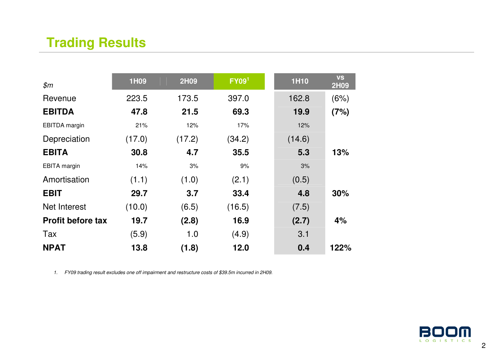# **Trading Results**

| \$m\$                    | 1H09   | <b>2H09</b> | FY09 <sup>1</sup> | <b>1H10</b> | <b>VS</b><br>2H09 |
|--------------------------|--------|-------------|-------------------|-------------|-------------------|
| Revenue                  | 223.5  | 173.5       | 397.0             | 162.8       | (6%)              |
| <b>EBITDA</b>            | 47.8   | 21.5        | 69.3              | 19.9        | (7%)              |
| EBITDA margin            | 21%    | 12%         | 17%               | 12%         |                   |
| Depreciation             | (17.0) | (17.2)      | (34.2)            | (14.6)      |                   |
| <b>EBITA</b>             | 30.8   | 4.7         | 35.5              | 5.3         | 13%               |
| <b>EBITA</b> margin      | 14%    | 3%          | 9%                | 3%          |                   |
| Amortisation             | (1.1)  | (1.0)       | (2.1)             | (0.5)       |                   |
| <b>EBIT</b>              | 29.7   | 3.7         | 33.4              | 4.8         | 30%               |
| Net Interest             | (10.0) | (6.5)       | (16.5)            | (7.5)       |                   |
| <b>Profit before tax</b> | 19.7   | (2.8)       | 16.9              | (2.7)       | 4%                |
| Tax                      | (5.9)  | 1.0         | (4.9)             | 3.1         |                   |
| <b>NPAT</b>              | 13.8   | (1.8)       | 12.0              | 0.4         | 122%              |

1. FY09 trading result excludes one off impairment and restructure costs of \$39.5m incurred in 2H09.

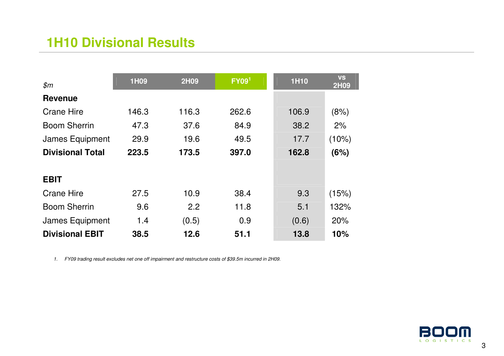### **1H10 Divisional Results**

| $\mathfrak{m}$          | 1H09  | <b>2H09</b> | FY09 <sup>1</sup> | <b>1H10</b> | <b>VS</b><br><b>2H09</b> |
|-------------------------|-------|-------------|-------------------|-------------|--------------------------|
| <b>Revenue</b>          |       |             |                   |             |                          |
| <b>Crane Hire</b>       | 146.3 | 116.3       | 262.6             | 106.9       | (8%)                     |
| <b>Boom Sherrin</b>     | 47.3  | 37.6        | 84.9              | 38.2        | 2%                       |
| James Equipment         | 29.9  | 19.6        | 49.5              | 17.7        | $(10\%)$                 |
| <b>Divisional Total</b> | 223.5 | 173.5       | 397.0             | 162.8       | (6%)                     |
|                         |       |             |                   |             |                          |
| <b>EBIT</b>             |       |             |                   |             |                          |
| <b>Crane Hire</b>       | 27.5  | 10.9        | 38.4              | 9.3         | (15%)                    |
| <b>Boom Sherrin</b>     | 9.6   | 2.2         | 11.8              | 5.1         | 132%                     |
| James Equipment         | 1.4   | (0.5)       | 0.9               | (0.6)       | 20%                      |
| <b>Divisional EBIT</b>  | 38.5  | 12.6        | 51.1              | 13.8        | 10%                      |

1. FY09 trading result excludes net one off impairment and restructure costs of \$39.5m incurred in 2H09.

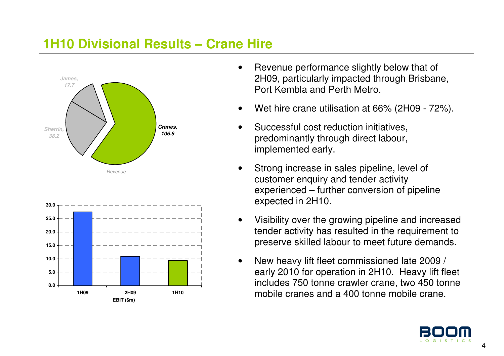#### **1H10 Divisional Results – Crane Hire**





- Revenue performance slightly below that of 2H09, particularly impacted through Brisbane, Port Kembla and Perth Metro.
- Wet hire crane utilisation at 66% (2H09 72%).
- Successful cost reduction initiatives. predominantly through direct labour, implemented early.
- Strong increase in sales pipeline, level of customer enquiry and tender activity experienced – further conversion of pipeline expected in 2H10.
- Visibility over the growing pipeline and increased tender activity has resulted in the requirement to preserve skilled labour to meet future demands.
- New heavy lift fleet commissioned late 2009 / early 2010 for operation in 2H10. Heavy lift fleet includes 750 tonne crawler crane, two 450 tonne mobile cranes and a 400 tonne mobile crane.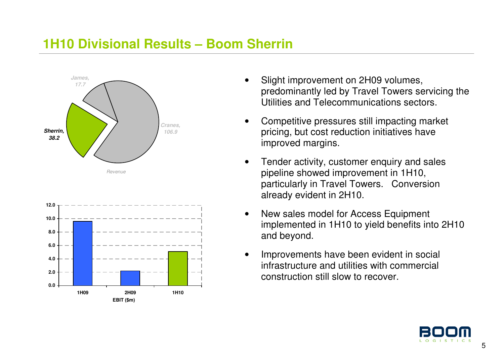#### **1H10 Divisional Results – Boom Sherrin**





- Slight improvement on 2H09 volumes, predominantly led by Travel Towers servicing the Utilities and Telecommunications sectors.
- Competitive pressures still impacting market pricing, but cost reduction initiatives have improved margins.
- Tender activity, customer enquiry and sales pipeline showed improvement in 1H10, particularly in Travel Towers. Conversion already evident in 2H10.
- New sales model for Access Equipment implemented in 1H10 to yield benefits into 2H10 and beyond.
- Improvements have been evident in social infrastructure and utilities with commercial construction still slow to recover.

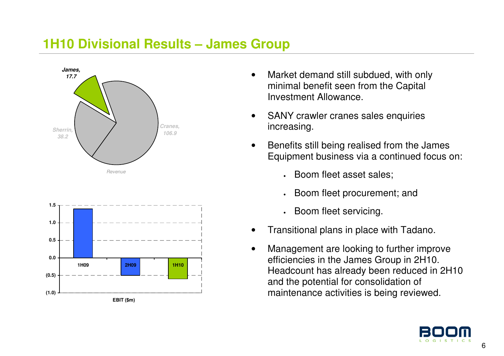#### **1H10 Divisional Results – James Group**





- Market demand still subdued, with only minimal benefit seen from the Capital Investment Allowance.
- SANY crawler cranes sales enquiries increasing.
- Benefits still being realised from the James Equipment business via a continued focus on:
	- •Boom fleet asset sales;
	- •Boom fleet procurement; and
	- •Boom fleet servicing.
- Transitional plans in place with Tadano.
- Management are looking to further improve efficiencies in the James Group in 2H10. Headcount has already been reduced in 2H10 and the potential for consolidation of maintenance activities is being reviewed.

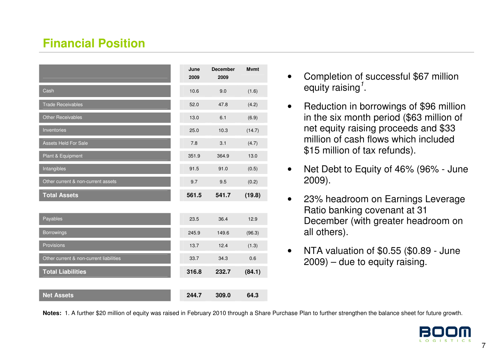#### **Financial Position**

|                                         | June<br>2009 | <b>December</b><br>2009 | <b>M</b> vmt |
|-----------------------------------------|--------------|-------------------------|--------------|
| Cash                                    | 10.6         | 9.0                     | (1.6)        |
| <b>Trade Receivables</b>                | 52.0         | 47.8                    | (4.2)        |
| Other Receivables                       | 13.0         | 6.1                     | (6.9)        |
| Inventories                             | 25.0         | 10.3                    | (14.7)       |
| <b>Assets Held For Sale</b>             | 7.8          | 3.1                     | (4.7)        |
| Plant & Equipment                       | 351.9        | 364.9                   | 13.0         |
| Intangibles                             | 91.5         | 91.0                    | (0.5)        |
| Other current & non-current assets      | 9.7          | 9.5                     | (0.2)        |
| <b>Total Assets</b>                     | 561.5        | 541.7                   | (19.8)       |
|                                         |              |                         |              |
| Payables                                | 23.5         | 36.4                    | 12.9         |
| <b>Borrowings</b>                       | 245.9        | 149.6                   | (96.3)       |
| Provisions                              | 13.7         | 12.4                    | (1.3)        |
| Other current & non-current liabilities | 33.7         | 34.3                    | 0.6          |
| <b>Total Liabilities</b>                | 316.8        | 232.7                   | (84.1)       |
|                                         |              |                         |              |
| <b>Net Assets</b>                       | 244.7        | 309.0                   | 64.3         |

- Completion of successful \$67 million equity raising<sup> $1$ </sup>.
- Reduction in borrowings of \$96 million in the six month period (\$63 million of net equity raising proceeds and \$33 million of cash flows which included \$15 million of tax refunds).
- Net Debt to Equity of 46% (96% June 2009).
- 23% headroom on Earnings Leverage Ratio banking covenant at 31 December (with greater headroom on all others).
- NTA valuation of \$0.55 (\$0.89 June 2009) – due to equity raising.

**Notes:** 1. A further \$20 million of equity was raised in February 2010 through a Share Purchase Plan to further strengthen the balance sheet for future growth.

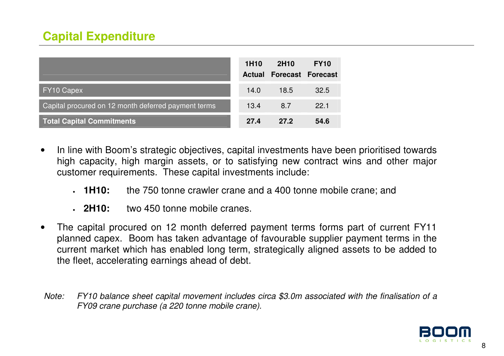#### **Capital Expenditure**

|                                                     | 1H <sub>10</sub><br><b>Actual</b> | 2H <sub>10</sub> | <b>FY10</b><br><b>Forecast Forecast</b> |
|-----------------------------------------------------|-----------------------------------|------------------|-----------------------------------------|
| <b>FY10 Capex</b>                                   | 14.0                              | 18.5             | 32.5                                    |
| Capital procured on 12 month deferred payment terms | 13.4                              | 8.7              | 22.1                                    |
| <b>Total Capital Commitments</b>                    | 27.4                              | 27.2             | 54.6                                    |

- In line with Boom's strategic objectives, capital investments have been prioritised towards high capacity, high margin assets, or to satisfying new contract wins and other major customer requirements. These capital investments include:
	- $-1H10:$ the 750 tonne crawler crane and a 400 tonne mobile crane; and
	- $.2H10:$ two 450 tonne mobile cranes.
- The capital procured on 12 month deferred payment terms forms part of current FY11 planned capex. Boom has taken advantage of favourable supplier payment terms in the current market which has enabled long term, strategically aligned assets to be added to the fleet, accelerating earnings ahead of debt.
- Note: FY10 balance sheet capital movement includes circa \$3.0m associated with the finalisation of a FY09 crane purchase (a 220 tonne mobile crane).

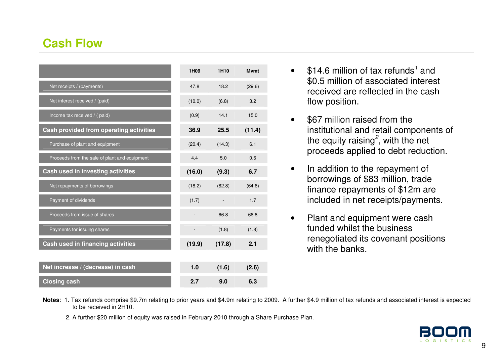#### **Cash Flow**

|                                               | 1H09   | 1H <sub>10</sub> | <b>M</b> vmt |
|-----------------------------------------------|--------|------------------|--------------|
| Net receipts / (payments)                     | 47.8   | 18.2             | (29.6)       |
| Net interest received / (paid)                | (10.0) | (6.8)            | 3.2          |
| Income tax received / (paid)                  | (0.9)  | 14.1             | 15.0         |
| Cash provided from operating activities       | 36.9   | 25.5             | (11.4)       |
| Purchase of plant and equipment               | (20.4) | (14.3)           | 6.1          |
| Proceeds from the sale of plant and equipment | 4.4    | 5.0              | 0.6          |
| Cash used in investing activities             | (16.0) | (9.3)            | 6.7          |
| Net repayments of borrowings                  | (18.2) | (82.8)           | (64.6)       |
| Payment of dividends                          | (1.7)  |                  | 1.7          |
| Proceeds from issue of shares                 |        | 66.8             | 66.8         |
| Payments for issuing shares                   |        | (1.8)            | (1.8)        |
| Cash used in financing activities             | (19.9) | (17.8)           | 2.1          |
|                                               |        |                  |              |
| Net increase / (decrease) in cash             | 1.0    | (1.6)            | (2.6)        |
| <b>Closing cash</b>                           | 2.7    | 9.0              | 6.3          |

- $$14.6$  million of tax refunds<sup>1</sup> and \$0.5 million of associated interest received are reflected in the cash flow position.
- \$67 million raised from the institutional and retail components of the equity raising<sup>2</sup>, with the net proceeds applied to debt reduction.
- In addition to the repayment of borrowings of \$83 million, trade finance repayments of \$12m are included in net receipts/payments.
- Plant and equipment were cash funded whilst the business renegotiated its covenant positions with the banks.

- **Notes**: 1. Tax refunds comprise \$9.7m relating to prior years and \$4.9m relating to 2009. A further \$4.9 million of tax refunds and associated interest is expected to be received in 2H10.
	- 2. A further \$20 million of equity was raised in February 2010 through a Share Purchase Plan.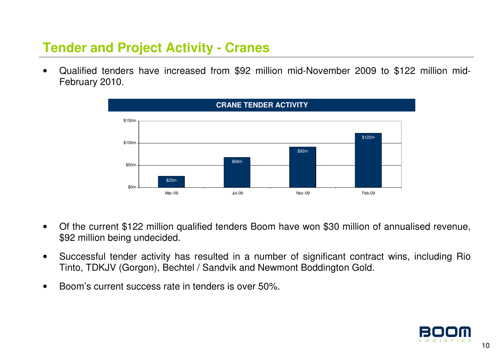# **Tender and Project Activity - Cranes**

• Qualified tenders have increased from \$92 million mid-November 2009 to \$122 million mid-February 2010.



- Of the current \$122 million qualified tenders Boom have won \$30 million of annualised revenue, \$92 million being undecided.
- Successful tender activity has resulted in a number of significant contract wins, including Rio Tinto, TDKJV (Gorgon), Bechtel / Sandvik and Newmont Boddington Gold.
- Boom's current success rate in tenders is over 50%.

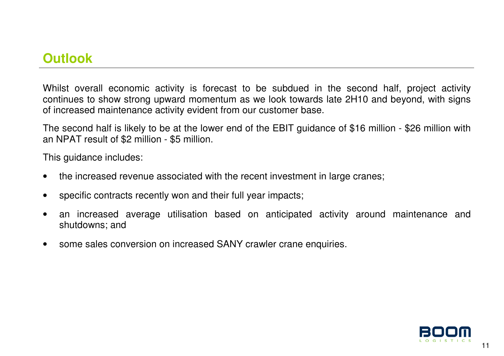### **Outlook**

Whilst overall economic activity is forecast to be subdued in the second half, project activity continues to show strong upward momentum as we look towards late 2H10 and beyond, with signs of increased maintenance activity evident from our customer base.

The second half is likely to be at the lower end of the EBIT guidance of \$16 million - \$26 million with an NPAT result of \$2 million - \$5 million.

This guidance includes:

- the increased revenue associated with the recent investment in large cranes;
- specific contracts recently won and their full year impacts;
- an increased average utilisation based on anticipated activity around maintenance and shutdowns; and
- some sales conversion on increased SANY crawler crane enquiries.